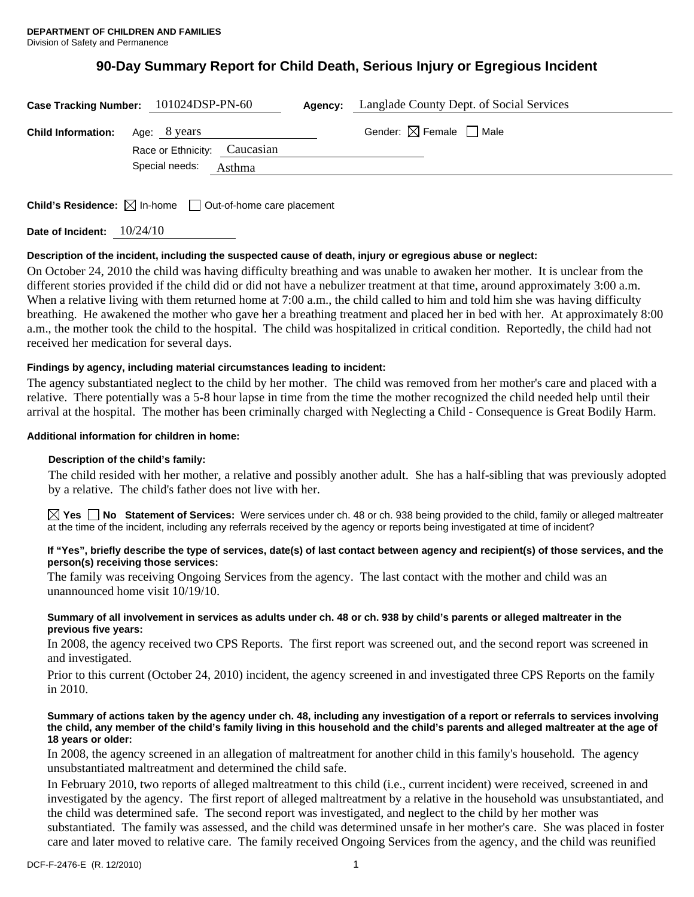# **90-Day Summary Report for Child Death, Serious Injury or Egregious Incident**

|                                        | Case Tracking Number: 101024DSP-PN-60 | <b>Agency:</b> Langlade County Dept. of Social Services |  |
|----------------------------------------|---------------------------------------|---------------------------------------------------------|--|
| <b>Child Information:</b> Age: 8 years | Race or Ethnicity: Caucasian          | Gender: $\boxtimes$ Female $\Box$ Male                  |  |
|                                        | Special needs: Asthma                 |                                                         |  |

**Child's Residence:**  $\boxtimes$  In-home  $\Box$  Out-of-home care placement

**Date of Incident:** 10/24/10

# **Description of the incident, including the suspected cause of death, injury or egregious abuse or neglect:**

On October 24, 2010 the child was having difficulty breathing and was unable to awaken her mother. It is unclear from the different stories provided if the child did or did not have a nebulizer treatment at that time, around approximately 3:00 a.m. When a relative living with them returned home at 7:00 a.m., the child called to him and told him she was having difficulty breathing. He awakened the mother who gave her a breathing treatment and placed her in bed with her. At approximately 8:00 a.m., the mother took the child to the hospital. The child was hospitalized in critical condition. Reportedly, the child had not received her medication for several days.

# **Findings by agency, including material circumstances leading to incident:**

The agency substantiated neglect to the child by her mother. The child was removed from her mother's care and placed with a relative. There potentially was a 5-8 hour lapse in time from the time the mother recognized the child needed help until their arrival at the hospital. The mother has been criminally charged with Neglecting a Child - Consequence is Great Bodily Harm.

## **Additional information for children in home:**

## **Description of the child's family:**

The child resided with her mother, a relative and possibly another adult. She has a half-sibling that was previously adopted by a relative. The child's father does not live with her.

**Yes No** Statement of Services: Were services under ch. 48 or ch. 938 being provided to the child, family or alleged maltreater at the time of the incident, including any referrals received by the agency or reports being investigated at time of incident?

## **If "Yes", briefly describe the type of services, date(s) of last contact between agency and recipient(s) of those services, and the person(s) receiving those services:**

The family was receiving Ongoing Services from the agency. The last contact with the mother and child was an unannounced home visit 10/19/10.

## **Summary of all involvement in services as adults under ch. 48 or ch. 938 by child's parents or alleged maltreater in the previous five years:**

In 2008, the agency received two CPS Reports. The first report was screened out, and the second report was screened in and investigated.

Prior to this current (October 24, 2010) incident, the agency screened in and investigated three CPS Reports on the family in 2010.

#### **Summary of actions taken by the agency under ch. 48, including any investigation of a report or referrals to services involving the child, any member of the child's family living in this household and the child's parents and alleged maltreater at the age of 18 years or older:**

In 2008, the agency screened in an allegation of maltreatment for another child in this family's household. The agency unsubstantiated maltreatment and determined the child safe.

In February 2010, two reports of alleged maltreatment to this child (i.e., current incident) were received, screened in and investigated by the agency. The first report of alleged maltreatment by a relative in the household was unsubstantiated, and the child was determined safe. The second report was investigated, and neglect to the child by her mother was substantiated. The family was assessed, and the child was determined unsafe in her mother's care. She was placed in foster care and later moved to relative care. The family received Ongoing Services from the agency, and the child was reunified